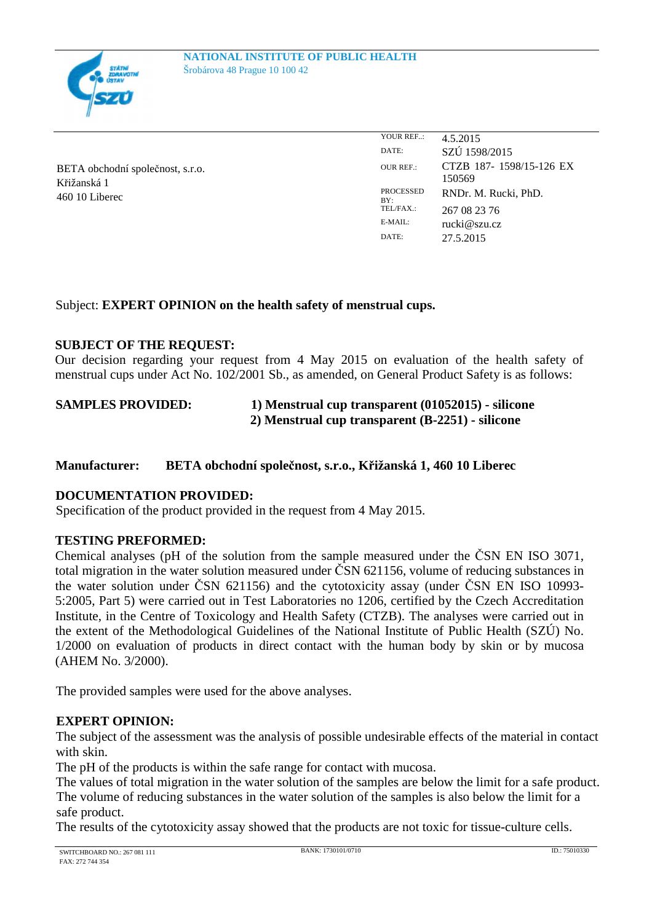

BETA obchodní společnost, s.r.o. Křižanská 1 460 10 Liberec

YOUR REF..: 4.5.2015 DATE: SZÚ 1598/2015 OUR REF.: CTZB 187- 1598/15-126 EX 150569 PROCESSED BY:<br>TEL/FAX.: RNDr. M. Rucki, PhD. TEL/FAX.:  $267082376$ <br>E-MAIL:  $\frac{\text{mcki}\omega_{\text{SZUCT}}}{\text{mcki}\omega_{\text{SZUCT}}}$  $rucki@szu.cz$ DATE: 27.5.2015

## Subject: **EXPERT OPINION on the health safety of menstrual cups.**

## **SUBJECT OF THE REQUEST:**

Our decision regarding your request from 4 May 2015 on evaluation of the health safety of menstrual cups under Act No. 102/2001 Sb., as amended, on General Product Safety is as follows:

**SAMPLES PROVIDED: 1) Menstrual cup transparent (01052015) - silicone 2) Menstrual cup transparent (B-2251) - silicone**

## **Manufacturer: BETA obchodní společnost, s.r.o., Křižanská 1, 460 10 Liberec**

## **DOCUMENTATION PROVIDED:**

Specification of the product provided in the request from 4 May 2015.

## **TESTING PREFORMED:**

Chemical analyses (pH of the solution from the sample measured under the ČSN EN ISO 3071, total migration in the water solution measured under ČSN 621156, volume of reducing substances in the water solution under ČSN 621156) and the cytotoxicity assay (under ČSN EN ISO 10993- 5:2005, Part 5) were carried out in Test Laboratories no 1206, certified by the Czech Accreditation Institute, in the Centre of Toxicology and Health Safety (CTZB). The analyses were carried out in the extent of the Methodological Guidelines of the National Institute of Public Health (SZÚ) No. 1/2000 on evaluation of products in direct contact with the human body by skin or by mucosa (AHEM No. 3/2000).

The provided samples were used for the above analyses.

## **EXPERT OPINION:**

The subject of the assessment was the analysis of possible undesirable effects of the material in contact with skin.

The pH of the products is within the safe range for contact with mucosa.

The values of total migration in the water solution of the samples are below the limit for a safe product. The volume of reducing substances in the water solution of the samples is also below the limit for a safe product.

The results of the cytotoxicity assay showed that the products are not toxic for tissue-culture cells.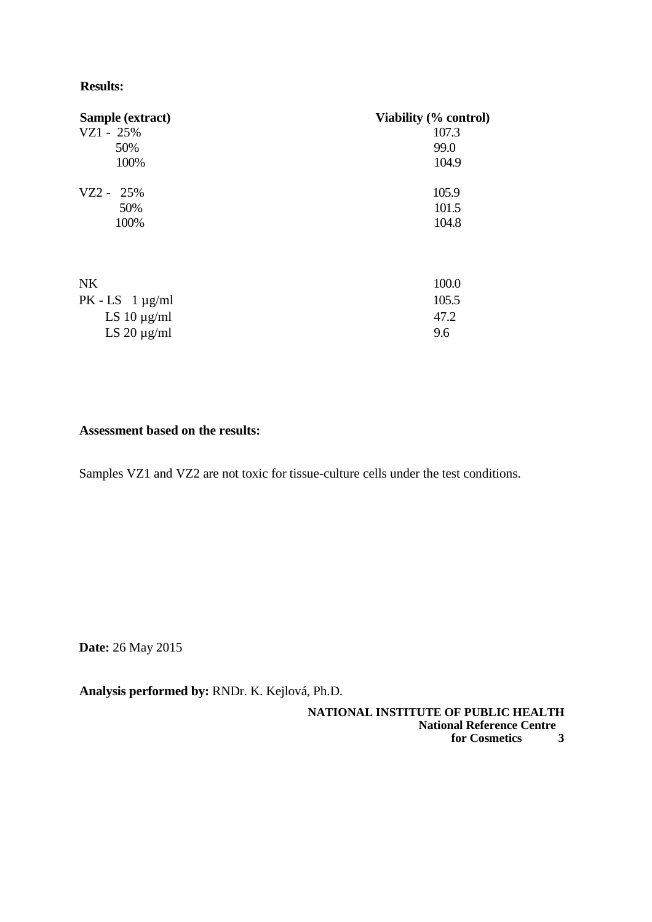## **Results:**

| Sample (extract)       | Viability (% control) |
|------------------------|-----------------------|
| $VZ1 - 25%$            | 107.3                 |
| 50%                    | 99.0                  |
| 100%                   | 104.9                 |
| $VZ2 - 25%$            | 105.9                 |
| 50%                    | 101.5                 |
| 100%                   | 104.8                 |
| <b>NK</b>              | 100.0                 |
| $PK$ - LS 1 $\mu$ g/ml | 105.5                 |
| LS 10 $\mu$ g/ml       | 47.2                  |
| LS $20 \mu g/ml$       | 9.6                   |

## **Assessment based on the results:**

Samples VZ1 and VZ2 are not toxic for tissue-culture cells under the test conditions.

**Date:** 26 May 2015

**Analysis performed by:** RNDr. K. Kejlová, Ph.D.

**NATIONAL INSTITUTE OF PUBLIC HEALTH National Reference Centre for Cosmetics 3**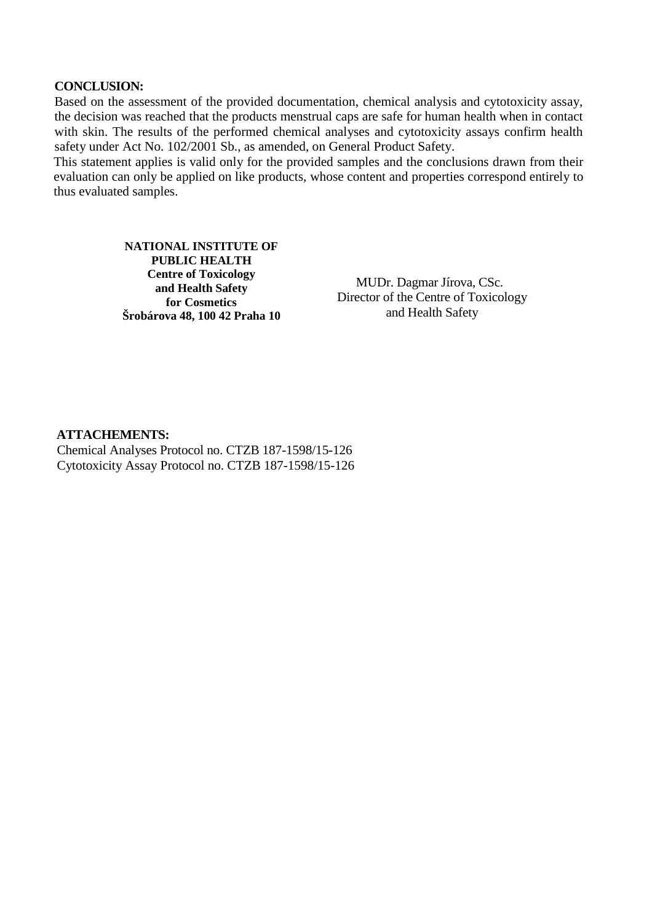## **CONCLUSION:**

Based on the assessment of the provided documentation, chemical analysis and cytotoxicity assay, the decision was reached that the products menstrual caps are safe for human health when in contact with skin. The results of the performed chemical analyses and cytotoxicity assays confirm health safety under Act No. 102/2001 Sb., as amended, on General Product Safety.

This statement applies is valid only for the provided samples and the conclusions drawn from their evaluation can only be applied on like products, whose content and properties correspond entirely to thus evaluated samples.

> **NATIONAL INSTITUTE OF PUBLIC HEALTH Centre of Toxicology and Health Safety for Cosmetics Šrobárova 48, 100 42 Praha 10**

MUDr. Dagmar Jírova, CSc. Director of the Centre of Toxicology and Health Safety

### **ATTACHEMENTS:**

Chemical Analyses Protocol no. CTZB 187-1598/15-126 Cytotoxicity Assay Protocol no. CTZB 187-1598/15-126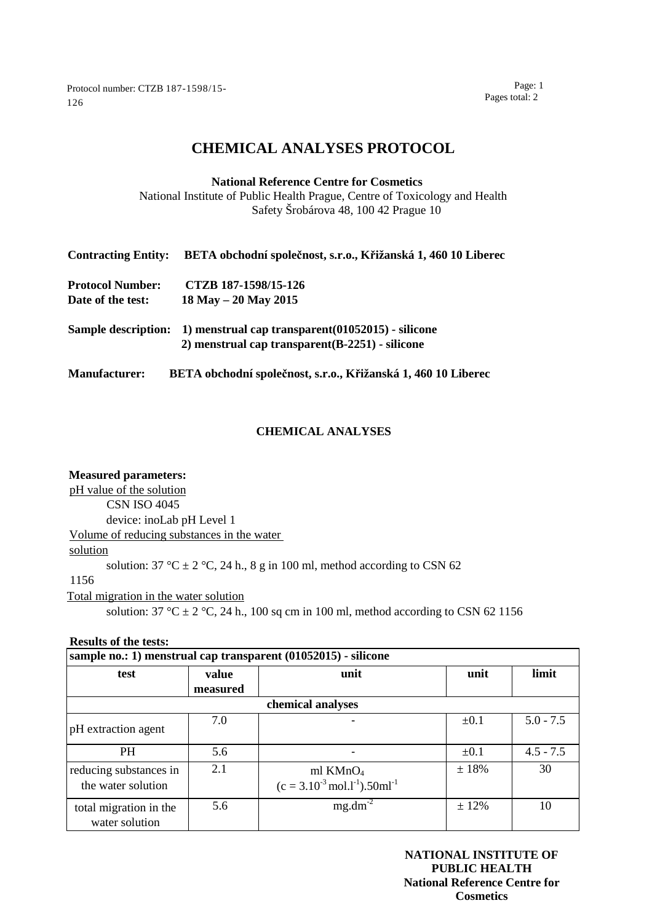Protocol number: CTZB 187-1598/15- 126

Page: 1 Pages total: 2

# **CHEMICAL ANALYSES PROTOCOL**

**National Reference Centre for Cosmetics** National Institute of Public Health Prague, Centre of Toxicology and Health Safety Šrobárova 48, 100 42 Prague 10

| <b>Contracting Entity:</b> | BETA obchodní společnost, s.r.o., Křižanská 1, 460 10 Liberec |
|----------------------------|---------------------------------------------------------------|
| <b>Protocol Number:</b>    | CTZB 187-1598/15-126                                          |
| Date of the test:          | $18$ May $- 20$ May $2015$                                    |
| <b>Sample description:</b> | 1) menstrual cap transparent (01052015) - silicone            |
|                            | 2) menstrual cap transparent (B-2251) - silicone              |
| <b>Manufacturer:</b>       | BETA obchodní společnost, s.r.o., Křižanská 1, 460 10 Liberec |

### **CHEMICAL ANALYSES**

### **Measured parameters:**

pH value of the solution

CSN ISO 4045

device: inoLab pH Level 1

Volume of reducing substances in the water

#### solution

solution:  $37 \text{ °C} \pm 2 \text{ °C}$ ,  $24 \text{ h}$ .,  $8 \text{ g}$  in 100 ml, method according to CSN 62

## 1156

Total migration in the water solution

solution:  $37 \text{ °C} \pm 2 \text{ °C}$ ,  $24 \text{ h}$ .,  $100 \text{ sq cm}$  in  $100 \text{ ml}$ , method according to CSN 62 1156

#### **Results of the tests:**

| sample no.: 1) menstrual cap transparent (01052015) - silicone |          |                                                                        |            |             |
|----------------------------------------------------------------|----------|------------------------------------------------------------------------|------------|-------------|
| test                                                           | value    | unit                                                                   | unit       | limit       |
|                                                                | measured |                                                                        |            |             |
| chemical analyses                                              |          |                                                                        |            |             |
| pH extraction agent                                            | 7.0      |                                                                        | $\pm 0.1$  | $5.0 - 7.5$ |
| <b>PH</b>                                                      | 5.6      |                                                                        | $\pm 0.1$  | $4.5 - 7.5$ |
| reducing substances in<br>the water solution                   | 2.1      | ml $KMnO4$<br>$(c = 3.10^{-3} \text{ mol.1}^{-1})$ .50ml <sup>-1</sup> | $\pm 18\%$ | 30          |
| total migration in the<br>water solution                       | 5.6      | $mg.dm-2$                                                              | ± 12%      | 10          |

**NATIONAL INSTITUTE OF PUBLIC HEALTH National Reference Centre for Cosmetics**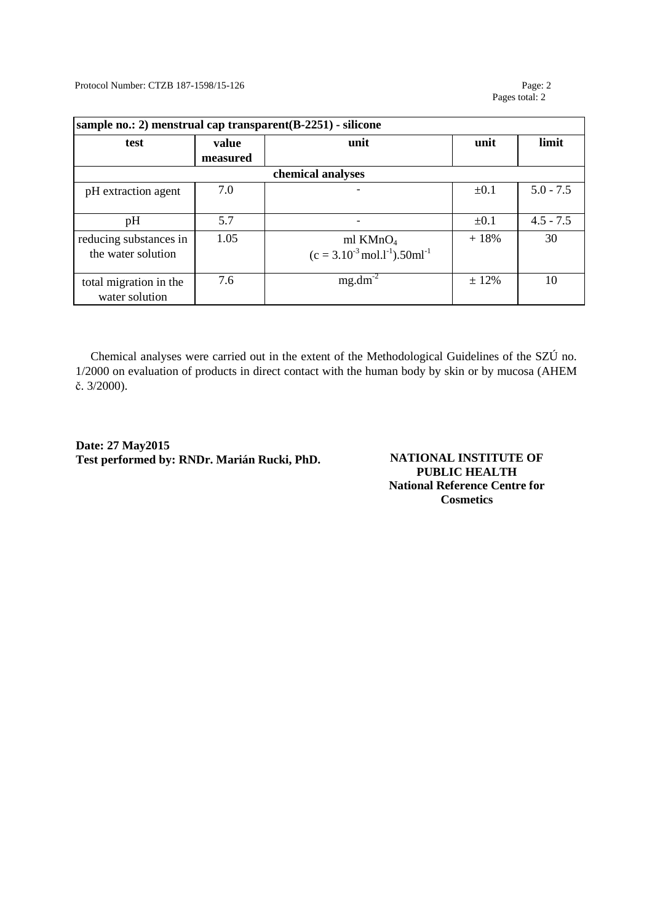Protocol Number: CTZB 187-1598/15-126 Page: 2

Pages total: 2

| sample no.: 2) menstrual cap transparent(B-2251) - silicone |          |                                                          |           |             |
|-------------------------------------------------------------|----------|----------------------------------------------------------|-----------|-------------|
| test                                                        | value    | unit                                                     | unit      | limit       |
|                                                             | measured |                                                          |           |             |
| chemical analyses                                           |          |                                                          |           |             |
| pH extraction agent                                         | 7.0      |                                                          | $\pm 0.1$ | $5.0 - 7.5$ |
|                                                             |          |                                                          |           |             |
| pH                                                          | 5.7      |                                                          | $\pm 0.1$ | $4.5 - 7.5$ |
| reducing substances in                                      | 1.05     | ml $KMnO4$                                               | $+18%$    | 30          |
| the water solution                                          |          | $(c = 3.10^{-3} \text{ mol.1}^{-1})$ .50ml <sup>-1</sup> |           |             |
|                                                             |          |                                                          |           |             |
| total migration in the                                      | 7.6      | $mg.dm-2$                                                | ± 12%     | 10          |
| water solution                                              |          |                                                          |           |             |

Chemical analyses were carried out in the extent of the Methodological Guidelines of the SZÚ no. 1/2000 on evaluation of products in direct contact with the human body by skin or by mucosa (AHEM č. 3/2000).

**Date: 27 May2015 Test performed by: RNDr. Marián Rucki, PhD. NATIONAL INSTITUTE OF** 

**PUBLIC HEALTH National Reference Centre for Cosmetics**